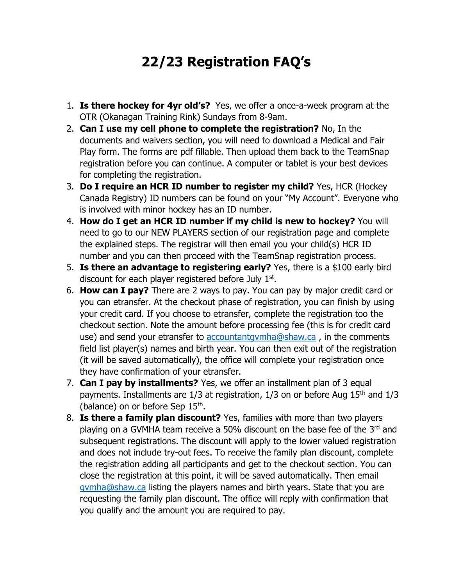## **22/23 Registration FAQ's**

- 1. **Is there hockey for 4yr old's?** Yes, we offer a once-a-week program at the OTR (Okanagan Training Rink) Sundays from 8-9am.
- 2. **Can I use my cell phone to complete the registration?** No, In the documents and waivers section, you will need to download a Medical and Fair Play form. The forms are pdf fillable. Then upload them back to the TeamSnap registration before you can continue. A computer or tablet is your best devices for completing the registration.
- 3. **Do I require an HCR ID number to register my child?** Yes, HCR (Hockey Canada Registry) ID numbers can be found on your "My Account". Everyone who is involved with minor hockey has an ID number.
- 4. **How do I get an HCR ID number if my child is new to hockey?** You will need to go to our NEW PLAYERS section of our registration page and complete the explained steps. The registrar will then email you your child(s) HCR ID number and you can then proceed with the TeamSnap registration process.
- 5. **Is there an advantage to registering early?** Yes, there is a \$100 early bird discount for each player registered before July 1st.
- 6. **How can I pay?** There are 2 ways to pay. You can pay by major credit card or you can etransfer. At the checkout phase of registration, you can finish by using your credit card. If you choose to etransfer, complete the registration too the checkout section. Note the amount before processing fee (this is for credit card use) and send your etransfer to [accountantgvmha@shaw.ca](mailto:accountantgvmha@shaw.ca) , in the comments field list player(s) names and birth year. You can then exit out of the registration (it will be saved automatically), the office will complete your registration once they have confirmation of your etransfer.
- 7. **Can I pay by installments?** Yes, we offer an installment plan of 3 equal payments. Installments are  $1/3$  at registration,  $1/3$  on or before Aug  $15<sup>th</sup>$  and  $1/3$ (balance) on or before Sep  $15<sup>th</sup>$ .
- 8. **Is there a family plan discount?** Yes, families with more than two players playing on a GVMHA team receive a 50% discount on the base fee of the 3rd and subsequent registrations. The discount will apply to the lower valued registration and does not include try-out fees. To receive the family plan discount, complete the registration adding all participants and get to the checkout section. You can close the registration at this point, it will be saved automatically. Then email [gvmha@shaw.ca](mailto:gvmha@shaw.ca) listing the players names and birth years. State that you are requesting the family plan discount. The office will reply with confirmation that you qualify and the amount you are required to pay.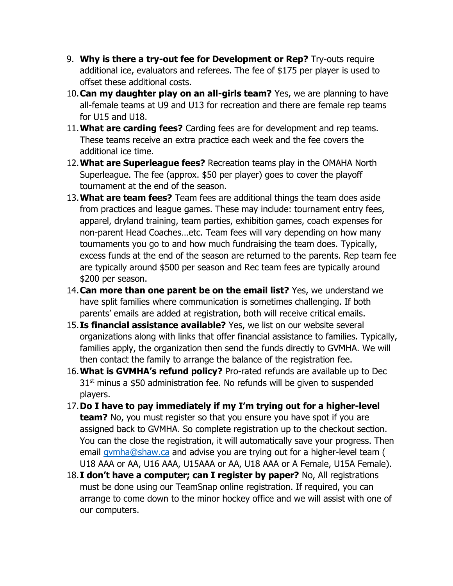- 9. **Why is there a try-out fee for Development or Rep?** Try-outs require additional ice, evaluators and referees. The fee of \$175 per player is used to offset these additional costs.
- 10.**Can my daughter play on an all-girls team?** Yes, we are planning to have all-female teams at U9 and U13 for recreation and there are female rep teams for U15 and U18.
- 11.**What are carding fees?** Carding fees are for development and rep teams. These teams receive an extra practice each week and the fee covers the additional ice time.
- 12.**What are Superleague fees?** Recreation teams play in the OMAHA North Superleague. The fee (approx. \$50 per player) goes to cover the playoff tournament at the end of the season.
- 13.**What are team fees?** Team fees are additional things the team does aside from practices and league games. These may include: tournament entry fees, apparel, dryland training, team parties, exhibition games, coach expenses for non-parent Head Coaches…etc. Team fees will vary depending on how many tournaments you go to and how much fundraising the team does. Typically, excess funds at the end of the season are returned to the parents. Rep team fee are typically around \$500 per season and Rec team fees are typically around \$200 per season.
- 14.**Can more than one parent be on the email list?** Yes, we understand we have split families where communication is sometimes challenging. If both parents' emails are added at registration, both will receive critical emails.
- 15.**Is financial assistance available?** Yes, we list on our website several organizations along with links that offer financial assistance to families. Typically, families apply, the organization then send the funds directly to GVMHA. We will then contact the family to arrange the balance of the registration fee.
- 16.**What is GVMHA's refund policy?** Pro-rated refunds are available up to Dec  $31<sup>st</sup>$  minus a \$50 administration fee. No refunds will be given to suspended players.
- 17.**Do I have to pay immediately if my I'm trying out for a higher-level team?** No, you must register so that you ensure you have spot if you are assigned back to GVMHA. So complete registration up to the checkout section. You can the close the registration, it will automatically save your progress. Then email [gvmha@shaw.ca](mailto:gvmha@shaw.ca) and advise you are trying out for a higher-level team ( U18 AAA or AA, U16 AAA, U15AAA or AA, U18 AAA or A Female, U15A Female).
- 18.**I don't have a computer; can I register by paper?** No, All registrations must be done using our TeamSnap online registration. If required, you can arrange to come down to the minor hockey office and we will assist with one of our computers.